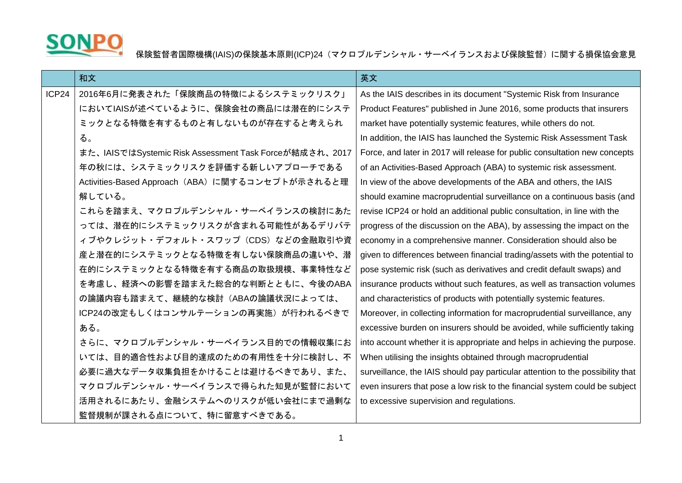

## SONPO 保険監督者国際機構(IAIS)の保険基本原則(ICP)24(マクロプルデンシャル・サーベイランスおよび保険監督)に関する損保協会意見

|       | 和文                                                     | 英文                                                                             |
|-------|--------------------------------------------------------|--------------------------------------------------------------------------------|
| ICP24 | 2016年6月に発表された「保険商品の特徴によるシステミックリスク」                     | As the IAIS describes in its document "Systemic Risk from Insurance            |
|       | においてIAISが述べているように、保険会社の商品には潜在的にシステ                     | Product Features" published in June 2016, some products that insurers          |
|       | ミックとなる特徴を有するものと有しないものが存在すると考えられ                        | market have potentially systemic features, while others do not.                |
|       | る。                                                     | In addition, the IAIS has launched the Systemic Risk Assessment Task           |
|       | また、IAISではSystemic Risk Assessment Task Forceが結成され、2017 | Force, and later in 2017 will release for public consultation new concepts     |
|       | 年の秋には、システミックリスクを評価する新しいアプローチである                        | of an Activities-Based Approach (ABA) to systemic risk assessment.             |
|       | Activities-Based Approach (ABA) に関するコンセプトが示されると理       | In view of the above developments of the ABA and others, the IAIS              |
|       | 解している。                                                 | should examine macroprudential surveillance on a continuous basis (and         |
|       | これらを踏まえ、マクロプルデンシャル・サーベイランスの検討にあた                       | revise ICP24 or hold an additional public consultation, in line with the       |
|       | っては、潜在的にシステミックリスクが含まれる可能性があるデリバテ                       | progress of the discussion on the ABA), by assessing the impact on the         |
|       | ィブやクレジット・デフォルト・スワップ (CDS) などの金融取引や資                    | economy in a comprehensive manner. Consideration should also be                |
|       | 産と潜在的にシステミックとなる特徴を有しない保険商品の違いや、潜                       | given to differences between financial trading/assets with the potential to    |
|       | 在的にシステミックとなる特徴を有する商品の取扱規模、事業特性など                       | pose systemic risk (such as derivatives and credit default swaps) and          |
|       | を考慮し、経済への影響を踏まえた総合的な判断とともに、今後のABA                      | insurance products without such features, as well as transaction volumes       |
|       | の論議内容も踏まえて、継続的な検討(ABAの論議状況によっては、                       | and characteristics of products with potentially systemic features.            |
|       | ICP24の改定もしくはコンサルテーションの再実施)が行われるべきで                     | Moreover, in collecting information for macroprudential surveillance, any      |
|       | ある。                                                    | excessive burden on insurers should be avoided, while sufficiently taking      |
|       | さらに、マクロプルデンシャル・サーベイランス目的での情報収集にお                       | into account whether it is appropriate and helps in achieving the purpose.     |
|       | いては、目的適合性および目的達成のための有用性を十分に検討し、不                       | When utilising the insights obtained through macroprudential                   |
|       | 必要に過大なデータ収集負担をかけることは避けるべきであり、また、                       | surveillance, the IAIS should pay particular attention to the possibility that |
|       | マクロプルデンシャル・サーベイランスで得られた知見が監督において                       | even insurers that pose a low risk to the financial system could be subject    |
|       | 活用されるにあたり、金融システムへのリスクが低い会社にまで過剰な                       | to excessive supervision and regulations.                                      |
|       | 監督規制が課される点について、特に留意すべきである。                             |                                                                                |